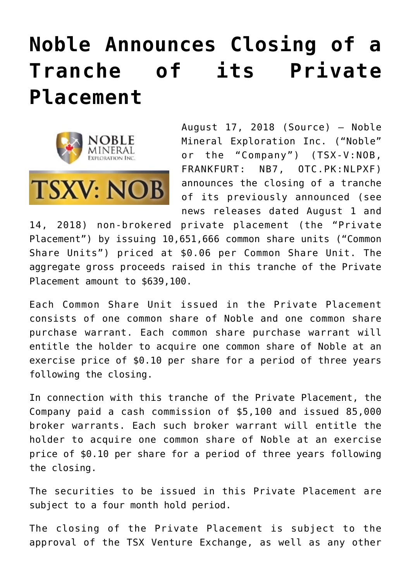## **[Noble Announces Closing of a](https://investorintel.com/markets/gold-silver-base-metals/gold-precious-metals-news/noble-announces-closing-tranche-private-placement/) [Tranche of its Private](https://investorintel.com/markets/gold-silver-base-metals/gold-precious-metals-news/noble-announces-closing-tranche-private-placement/) [Placement](https://investorintel.com/markets/gold-silver-base-metals/gold-precious-metals-news/noble-announces-closing-tranche-private-placement/)**



August 17, 2018 ([Source\)](https://investorintel.com/iintel-members/noble-mineral-exploration-inc/) — Noble Mineral Exploration Inc. ("Noble" or the "Company") (TSX-V:NOB, FRANKFURT: NB7, OTC.PK:NLPXF) announces the closing of a tranche of its previously announced (see news releases dated August 1 and

14, 2018) non-brokered private placement (the "Private Placement") by issuing 10,651,666 common share units ("Common Share Units") priced at \$0.06 per Common Share Unit. The aggregate gross proceeds raised in this tranche of the Private Placement amount to \$639,100.

Each Common Share Unit issued in the Private Placement consists of one common share of Noble and one common share purchase warrant. Each common share purchase warrant will entitle the holder to acquire one common share of Noble at an exercise price of \$0.10 per share for a period of three years following the closing.

In connection with this tranche of the Private Placement, the Company paid a cash commission of \$5,100 and issued 85,000 broker warrants. Each such broker warrant will entitle the holder to acquire one common share of Noble at an exercise price of \$0.10 per share for a period of three years following the closing.

The securities to be issued in this Private Placement are subject to a four month hold period.

The closing of the Private Placement is subject to the approval of the TSX Venture Exchange, as well as any other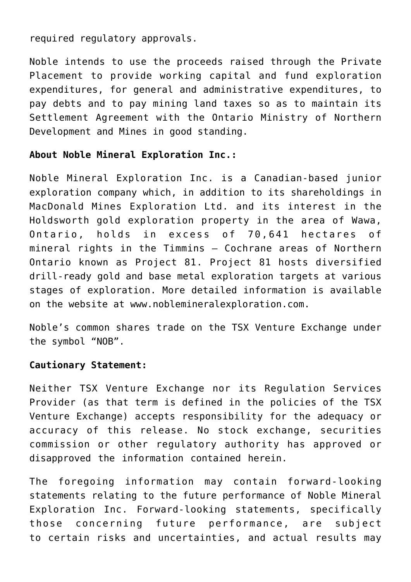required regulatory approvals.

Noble intends to use the proceeds raised through the Private Placement to provide working capital and fund exploration expenditures, for general and administrative expenditures, to pay debts and to pay mining land taxes so as to maintain its Settlement Agreement with the Ontario Ministry of Northern Development and Mines in good standing.

## **About Noble Mineral Exploration Inc.:**

Noble Mineral Exploration Inc. is a Canadian-based junior exploration company which, in addition to its shareholdings in MacDonald Mines Exploration Ltd. and its interest in the Holdsworth gold exploration property in the area of Wawa, Ontario, holds in excess of 70,641 hectares of mineral rights in the Timmins – Cochrane areas of Northern Ontario known as Project 81. Project 81 hosts diversified drill-ready gold and base metal exploration targets at various stages of exploration. More detailed information is available on the website at [www.noblemineralexploration.com.](http://www.noblemineralexploration.com/)

Noble's common shares trade on the TSX Venture Exchange under the symbol "NOB".

## **Cautionary Statement:**

Neither TSX Venture Exchange nor its Regulation Services Provider (as that term is defined in the policies of the TSX Venture Exchange) accepts responsibility for the adequacy or accuracy of this release. No stock exchange, securities commission or other regulatory authority has approved or disapproved the information contained herein.

The foregoing information may contain forward-looking statements relating to the future performance of Noble Mineral Exploration Inc. Forward-looking statements, specifically those concerning future performance, are subject to certain risks and uncertainties, and actual results may